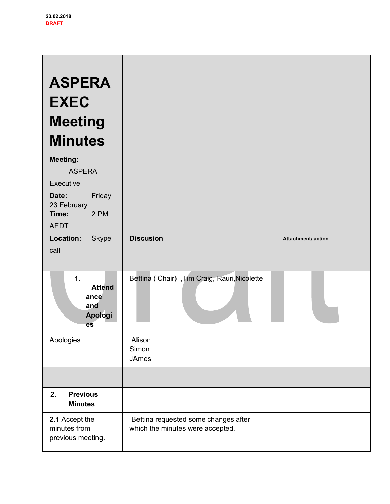| <b>ASPERA</b><br><b>EXEC</b><br><b>Meeting</b><br><b>Minutes</b><br><b>Meeting:</b><br><b>ASPERA</b><br>Executive<br>Friday<br>Date:<br>23 February<br>2 PM<br>Time: |                                                                          |                    |
|----------------------------------------------------------------------------------------------------------------------------------------------------------------------|--------------------------------------------------------------------------|--------------------|
| <b>AEDT</b><br>Location:<br>Skype<br>call                                                                                                                            | <b>Discusion</b>                                                         | Attachment/ action |
| 1.<br><b>Attend</b><br>ance<br>and<br>Apologi<br>es                                                                                                                  | Bettina (Chair), Tim Craig, Rauri, Nicolette                             |                    |
| Apologies                                                                                                                                                            | Alison<br>Simon<br><b>JAmes</b>                                          |                    |
|                                                                                                                                                                      |                                                                          |                    |
| <b>Previous</b><br>2.<br><b>Minutes</b>                                                                                                                              |                                                                          |                    |
| 2.1 Accept the<br>minutes from<br>previous meeting.                                                                                                                  | Bettina requested some changes after<br>which the minutes were accepted. |                    |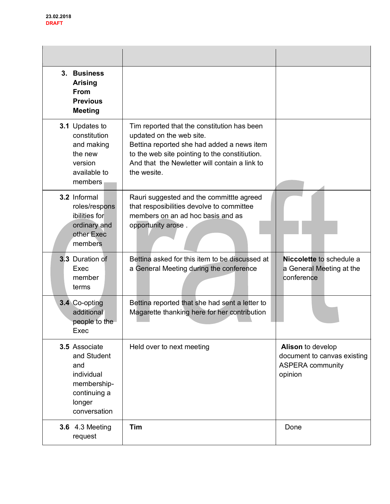| 3. Business<br><b>Arising</b><br><b>From</b><br><b>Previous</b><br><b>Meeting</b>                          |                                                                                                                                                                                                                                         |                                                                                        |
|------------------------------------------------------------------------------------------------------------|-----------------------------------------------------------------------------------------------------------------------------------------------------------------------------------------------------------------------------------------|----------------------------------------------------------------------------------------|
| 3.1 Updates to<br>constitution<br>and making<br>the new<br>version<br>available to<br>members              | Tim reported that the constitution has been<br>updated on the web site.<br>Bettina reported she had added a news item<br>to the web site pointing to the constitiution.<br>And that the Newletter will contain a link to<br>the wesite. |                                                                                        |
| 3.2 Informal<br>roles/respons<br>ibilities for<br>ordinary and<br>other Exec<br>members                    | Rauri suggested and the committte agreed<br>that resposibilities devolve to committee<br>members on an ad hoc basis and as<br>opportunity arose.                                                                                        |                                                                                        |
| 3.3 Duration of<br>Exec<br>member<br>terms                                                                 | Bettina asked for this item to be discussed at<br>a General Meeting during the conference                                                                                                                                               | Niccolette to schedule a<br>a General Meeting at the<br>conference                     |
| 3.4 Co-opting<br>additional<br>people to the<br>Exec                                                       | Bettina reported that she had sent a letter to<br>Magarette thanking here for her contribution                                                                                                                                          |                                                                                        |
| 3.5 Associate<br>and Student<br>and<br>individual<br>membership-<br>continuing a<br>longer<br>conversation | Held over to next meeting                                                                                                                                                                                                               | Alison to develop<br>document to canvas existing<br><b>ASPERA</b> community<br>opinion |
| <b>3.6 4.3 Meeting</b><br>request                                                                          | Tim                                                                                                                                                                                                                                     | Done                                                                                   |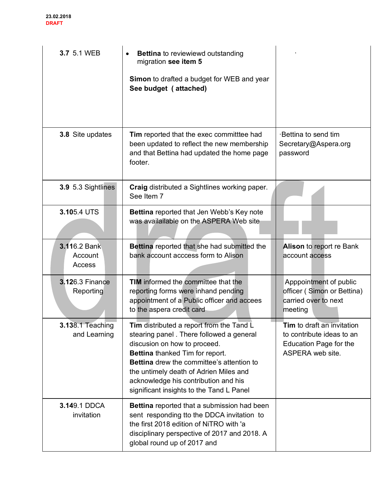| 3.7 5.1 WEB                             | <b>Bettina</b> to reviewiewd outstanding<br>migration see item 5<br>Simon to drafted a budget for WEB and year<br>See budget (attached)                                                                                                                                                                                                   |                                                                                                              |
|-----------------------------------------|-------------------------------------------------------------------------------------------------------------------------------------------------------------------------------------------------------------------------------------------------------------------------------------------------------------------------------------------|--------------------------------------------------------------------------------------------------------------|
| 3.8 Site updates                        | <b>Tim</b> reported that the exec committiee had<br>been updated to reflect the new membership<br>and that Bettina had updated the home page<br>footer.                                                                                                                                                                                   | Bettina to send tim<br>Secretary@Aspera.org<br>password                                                      |
| 3.9 5.3 Sightlines                      | Craig distributed a Sightlines working paper.<br>See Item 7                                                                                                                                                                                                                                                                               |                                                                                                              |
| 3.105.4 UTS                             | <b>Bettina</b> reported that Jen Webb's Key note<br>was availailable on the ASPERA Web site                                                                                                                                                                                                                                               |                                                                                                              |
| 3.116.2 Bank<br>Account<br>Access       | Bettina reported that she had submitted the<br>bank account acccess form to Alison                                                                                                                                                                                                                                                        | Alison to report re Bank<br>account access                                                                   |
| <b>3.12</b> 6.3 Finance<br>Reporting    | <b>TIM</b> informed the committee that the<br>reporting forms were inhand pending<br>appointment of a Public officer and accees<br>to the aspera credit card                                                                                                                                                                              | Apppointment of public<br>officer (Simon or Bettina)<br>carried over to next<br>meeting                      |
| <b>3.138.1 Teaching</b><br>and Learning | Tim distributed a report from the Tand L<br>stearing panel. There followed a general<br>discusion on how to proceed.<br>Bettina thanked Tim for report.<br><b>Bettina</b> drew the committee's attention to<br>the untimely death of Adrien Miles and<br>acknowledge his contribution and his<br>significant insights to the Tand L Panel | <b>Tim</b> to draft an invitation<br>to contribute ideas to an<br>Education Page for the<br>ASPERA web site. |
| 3.149.1 DDCA<br>invitation              | Bettina reported that a submission had been<br>sent responding tto the DDCA invitation to<br>the first 2018 edition of NiTRO with 'a<br>disciplinary perspective of 2017 and 2018. A<br>global round up of 2017 and                                                                                                                       |                                                                                                              |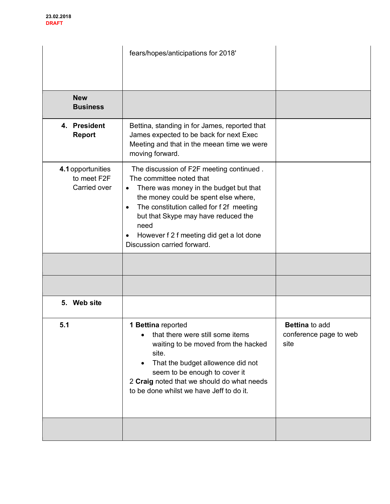|                                                  | fears/hopes/anticipations for 2018'                                                                                                                                                                                                                                                                                                            |                                                         |
|--------------------------------------------------|------------------------------------------------------------------------------------------------------------------------------------------------------------------------------------------------------------------------------------------------------------------------------------------------------------------------------------------------|---------------------------------------------------------|
| <b>New</b><br><b>Business</b>                    |                                                                                                                                                                                                                                                                                                                                                |                                                         |
| 4. President<br><b>Report</b>                    | Bettina, standing in for James, reported that<br>James expected to be back for next Exec<br>Meeting and that in the meean time we were<br>moving forward.                                                                                                                                                                                      |                                                         |
| 4.1 opportunities<br>to meet F2F<br>Carried over | The discussion of F2F meeting continued.<br>The committee noted that<br>There was money in the budget but that<br>٠<br>the money could be spent else where,<br>The constitution called for f 2f meeting<br>$\bullet$<br>but that Skype may have reduced the<br>need<br>However f 2 f meeting did get a lot done<br>Discussion carried forward. |                                                         |
|                                                  |                                                                                                                                                                                                                                                                                                                                                |                                                         |
|                                                  |                                                                                                                                                                                                                                                                                                                                                |                                                         |
| 5. Web site                                      |                                                                                                                                                                                                                                                                                                                                                |                                                         |
| 5.1                                              | <b>1 Bettina</b> reported<br>that there were still some items<br>waiting to be moved from the hacked<br>site.<br>That the budget allowence did not<br>$\bullet$<br>seem to be enough to cover it<br>2 Craig noted that we should do what needs<br>to be done whilst we have Jeff to do it.                                                     | <b>Bettina</b> to add<br>conference page to web<br>site |
|                                                  |                                                                                                                                                                                                                                                                                                                                                |                                                         |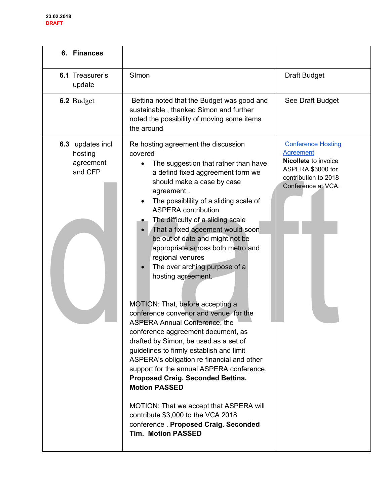| 6. Finances                                         |                                                                                                                                                                                                                                                                                                                                                                                                                                                                                                                                                                                                                                                                                                                                                                                                                                                                                                                                                                                                                                                                                   |                                                                                                                                          |
|-----------------------------------------------------|-----------------------------------------------------------------------------------------------------------------------------------------------------------------------------------------------------------------------------------------------------------------------------------------------------------------------------------------------------------------------------------------------------------------------------------------------------------------------------------------------------------------------------------------------------------------------------------------------------------------------------------------------------------------------------------------------------------------------------------------------------------------------------------------------------------------------------------------------------------------------------------------------------------------------------------------------------------------------------------------------------------------------------------------------------------------------------------|------------------------------------------------------------------------------------------------------------------------------------------|
| 6.1 Treasurer's<br>update                           | SImon                                                                                                                                                                                                                                                                                                                                                                                                                                                                                                                                                                                                                                                                                                                                                                                                                                                                                                                                                                                                                                                                             | <b>Draft Budget</b>                                                                                                                      |
| 6.2 Budget                                          | Bettina noted that the Budget was good and<br>sustainable, thanked Simon and further<br>noted the possibility of moving some items<br>the around                                                                                                                                                                                                                                                                                                                                                                                                                                                                                                                                                                                                                                                                                                                                                                                                                                                                                                                                  | See Draft Budget                                                                                                                         |
| 6.3 updates incl<br>hosting<br>agreement<br>and CFP | Re hosting agreement the discussion<br>covered<br>The suggestion that rather than have<br>$\bullet$<br>a defind fixed aggreement form we<br>should make a case by case<br>agreement.<br>The possiblility of a sliding scale of<br><b>ASPERA</b> contribution<br>The difficulty of a sliding scale<br>That a fixed ageement would soon<br>$\bullet$<br>be out of date and might not be<br>appropriate across both metro and<br>regional venures<br>The over arching purpose of a<br>$\bullet$<br>hosting agreement.<br>MOTION: That, before accepting a<br>conference convenor and venue for the<br><b>ASPERA Annual Conference, the</b><br>conference aggreement document, as<br>drafted by Simon, be used as a set of<br>guidelines to firmly establish and limit<br>ASPERA's obligation re financial and other<br>support for the annual ASPERA conference.<br>Proposed Craig. Seconded Bettina.<br><b>Motion PASSED</b><br>MOTION: That we accept that ASPERA will<br>contribute \$3,000 to the VCA 2018<br>conference . Proposed Craig. Seconded<br><b>Tim. Motion PASSED</b> | <b>Conference Hosting</b><br><b>Agreement</b><br>Nicollete to invoice<br>ASPERA \$3000 for<br>contribution to 2018<br>Conference at VCA. |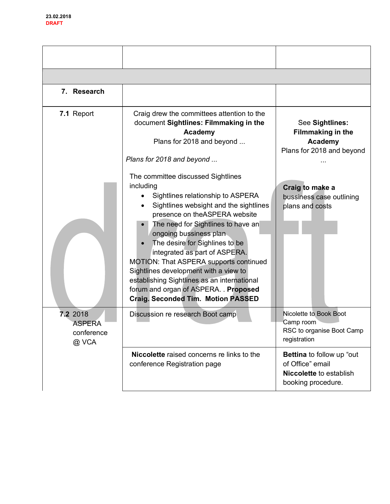| 7. Research                                      |                                                                                                                                                                                                                                                                                                                                                                                                                                                                                                                                                                                                                                                                                       |                                                                                                                                                       |
|--------------------------------------------------|---------------------------------------------------------------------------------------------------------------------------------------------------------------------------------------------------------------------------------------------------------------------------------------------------------------------------------------------------------------------------------------------------------------------------------------------------------------------------------------------------------------------------------------------------------------------------------------------------------------------------------------------------------------------------------------|-------------------------------------------------------------------------------------------------------------------------------------------------------|
| 7.1 Report                                       | Craig drew the committees attention to the<br>document Sightlines: Filmmaking in the<br>Academy<br>Plans for 2018 and beyond<br>Plans for 2018 and beyond<br>The committee discussed Sightlines<br>including<br>Sightlines relationship to ASPERA<br>Sightlines websight and the sightlines<br>presence on theASPERA website<br>The need for Sightlines to have an<br>ongoing bussiness plan<br>The desire for Sighlines to be<br>integrated as part of ASPERA.<br>MOTION: That ASPERA supports continued<br>Sightlines development with a view to<br>establishing Sightlines as an international<br>forum and organ of ASPERA. Proposed<br><b>Craig. Seconded Tim. Motion PASSED</b> | See Sightlines:<br><b>Filmmaking in the</b><br>Academy<br>Plans for 2018 and beyond<br>Craig to make a<br>bussiness case outlining<br>plans and costs |
| 7.2 2018<br><b>ASPERA</b><br>conference<br>@ VCA | Discussion re research Boot camp                                                                                                                                                                                                                                                                                                                                                                                                                                                                                                                                                                                                                                                      | Nicolette to Book Boot<br>Camp room<br>RSC to organise Boot Camp<br>registration                                                                      |
|                                                  | <b>Niccolette</b> raised concerns re links to the<br>conference Registration page                                                                                                                                                                                                                                                                                                                                                                                                                                                                                                                                                                                                     | Bettina to follow up "out<br>of Office" email<br><b>Niccolette</b> to establish<br>booking procedure.                                                 |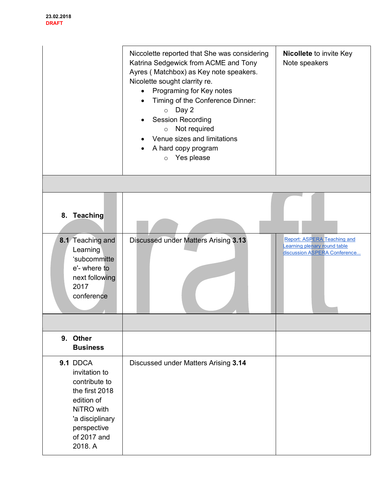|                                                                                                                                                      | Niccolette reported that She was considering<br>Katrina Sedgewick from ACME and Tony<br>Ayres (Matchbox) as Key note speakers.<br>Nicolette sought clarrity re.<br>Programing for Key notes<br>$\bullet$<br>Timing of the Conference Dinner:<br>Day 2<br>$\circ$<br><b>Session Recording</b><br>Not required<br>$\circ$<br>Venue sizes and limitations<br>A hard copy program<br>Yes please<br>$\circ$ | Nicollete to invite Key<br>Note speakers                                                           |
|------------------------------------------------------------------------------------------------------------------------------------------------------|--------------------------------------------------------------------------------------------------------------------------------------------------------------------------------------------------------------------------------------------------------------------------------------------------------------------------------------------------------------------------------------------------------|----------------------------------------------------------------------------------------------------|
|                                                                                                                                                      |                                                                                                                                                                                                                                                                                                                                                                                                        |                                                                                                    |
| 8. Teaching                                                                                                                                          |                                                                                                                                                                                                                                                                                                                                                                                                        |                                                                                                    |
| 8.1 Teaching and<br>Learning<br>'subcommitte<br>e'- where to<br>next following<br>2017<br>conference                                                 | Discussed under Matters Arising 3.13                                                                                                                                                                                                                                                                                                                                                                   | <b>Report: ASPERA Teaching and</b><br>Learning plenary round table<br>discussion ASPERA Conference |
|                                                                                                                                                      |                                                                                                                                                                                                                                                                                                                                                                                                        |                                                                                                    |
| 9. Other<br><b>Business</b>                                                                                                                          |                                                                                                                                                                                                                                                                                                                                                                                                        |                                                                                                    |
| 9.1 DDCA<br>invitation to<br>contribute to<br>the first 2018<br>edition of<br>NiTRO with<br>'a disciplinary<br>perspective<br>of 2017 and<br>2018. A | Discussed under Matters Arising 3.14                                                                                                                                                                                                                                                                                                                                                                   |                                                                                                    |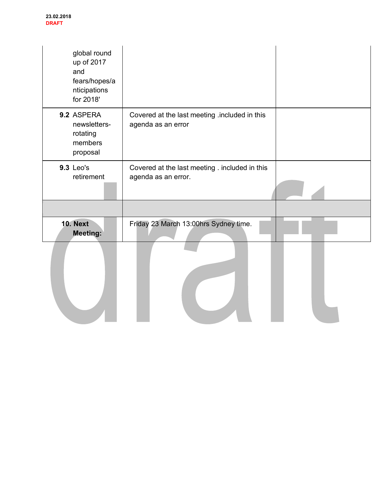| global round<br>up of 2017<br>and<br>fears/hopes/a<br>nticipations<br>for 2018' |                                                                       |  |
|---------------------------------------------------------------------------------|-----------------------------------------------------------------------|--|
| 9.2 ASPERA<br>newsletters-<br>rotating<br>members<br>proposal                   | Covered at the last meeting .included in this<br>agenda as an error   |  |
| 9.3 Leo's<br>retirement                                                         | Covered at the last meeting . included in this<br>agenda as an error. |  |
| <b>10. Next</b><br><b>Meeting:</b>                                              | Friday 23 March 13:00hrs Sydney time.                                 |  |
|                                                                                 |                                                                       |  |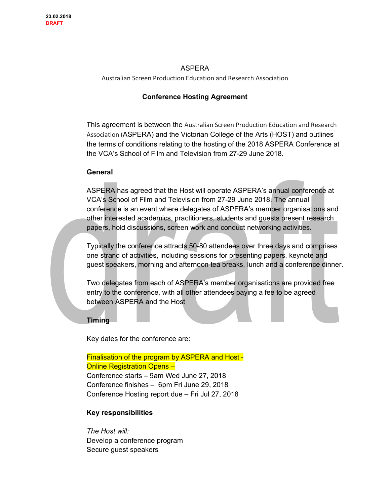## ASPERA

Australian Screen Production Education and Research Association

## **Conference Hosting Agreement**

This agreement is between the Australian Screen Production Education and Research Association (ASPERA) and the Victorian College of the Arts (HOST) and outlines the terms of conditions relating to the hosting of the 2018 ASPERA Conference at the VCA's School of Film and Television from 27-29 June 2018.

#### **General**

ASPERA has agreed that the Host will operate ASPERA's annual conference at VCA's School of Film and Television from 27-29 June 2018. The annual conference is an event where delegates of ASPERA's member organisations and other interested academics, practitioners, students and guests present research papers, hold discussions, screen work and conduct networking activities.

Typically the conference attracts 50-80 attendees over three days and comprises one strand of activities, including sessions for presenting papers, keynote and guest speakers, morning and afternoon tea breaks, lunch and a conference dinner.

Two delegates from each of ASPERA's member organisations are provided free entry to the conference, with all other attendees paying a fee to be agreed between ASPERA and the Host

## **Timing**

Key dates for the conference are:

Finalisation of the program by ASPERA and Host - Online Registration Opens – Conference starts – 9am Wed June 27, 2018 Conference finishes – 6pm Fri June 29, 2018 Conference Hosting report due – Fri Jul 27, 2018

## **Key responsibilities**

*The Host will:* Develop a conference program Secure guest speakers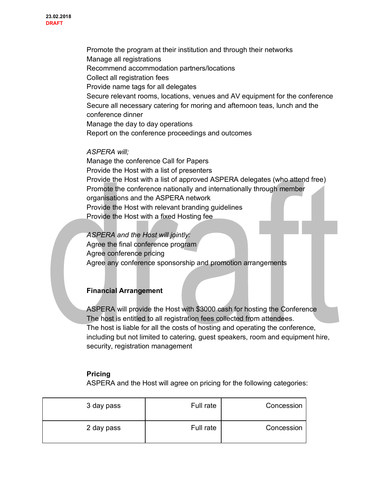Promote the program at their institution and through their networks Manage all registrations Recommend accommodation partners/locations Collect all registration fees Provide name tags for all delegates Secure relevant rooms, locations, venues and AV equipment for the conference Secure all necessary catering for moring and afternoon teas, lunch and the conference dinner Manage the day to day operations Report on the conference proceedings and outcomes

#### *ASPERA will;*

Manage the conference Call for Papers Provide the Host with a list of presenters Provide the Host with a list of approved ASPERA delegates (who attend free) Promote the conference nationally and internationally through member organisations and the ASPERA network Provide the Host with relevant branding guidelines Provide the Host with a fixed Hosting fee

*ASPERA and the Host will jointly:* Agree the final conference program Agree conference pricing Agree any conference sponsorship and promotion arrangements

## **Financial Arrangement**

ASPERA will provide the Host with \$3000 cash for hosting the Conference The host is entitled to all registration fees collected from attendees. The host is liable for all the costs of hosting and operating the conference, including but not limited to catering, guest speakers, room and equipment hire, security, registration management

## **Pricing**

ASPERA and the Host will agree on pricing for the following categories:

| 3 day pass | Full rate | Concession |
|------------|-----------|------------|
| 2 day pass | Full rate | Concession |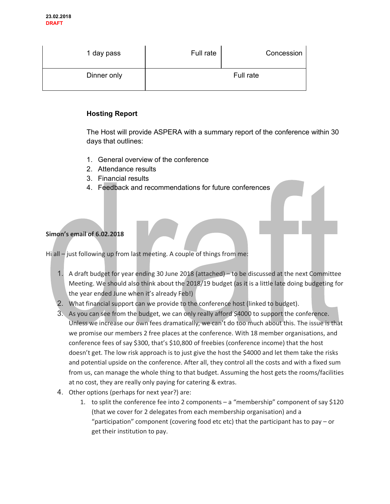| 1 day pass  | Full rate | Concession |
|-------------|-----------|------------|
| Dinner only |           | Full rate  |

## **Hosting Report**

The Host will provide ASPERA with a summary report of the conference within 30 days that outlines:

- 1. General overview of the conference
- 2. Attendance results
- 3. Financial results
- 4. Feedback and recommendations for future conferences

## **Simon's email of 6.02.2018**

Hi all – just following up from last meeting. A couple of things from me:

- 1. A draft budget for year ending 30 June 2018 (attached) to be discussed at the next Committee Meeting. We should also think about the 2018/19 budget (as it is a little late doing budgeting for the year ended June when it's already Feb!)
- 2. What financial support can we provide to the conference host (linked to budget).
- 3. As you can see from the budget, we can only really afford \$4000 to support the conference. Unless we increase our own fees dramatically, we can't do too much about this. The issue is that we promise our members 2 free places at the conference. With 18 member organisations, and conference fees of say \$300, that's \$10,800 of freebies (conference income) that the host doesn't get. The low risk approach is to just give the host the \$4000 and let them take the risks and potential upside on the conference. After all, they control all the costs and with a fixed sum from us, can manage the whole thing to that budget. Assuming the host gets the rooms/facilities at no cost, they are really only paying for catering & extras.
- 4. Other options (perhaps for next year?) are:
	- 1. to split the conference fee into 2 components a "membership" component of say \$120 (that we cover for 2 delegates from each membership organisation) and a "participation" component (covering food etc etc) that the participant has to pay – or get their institution to pay.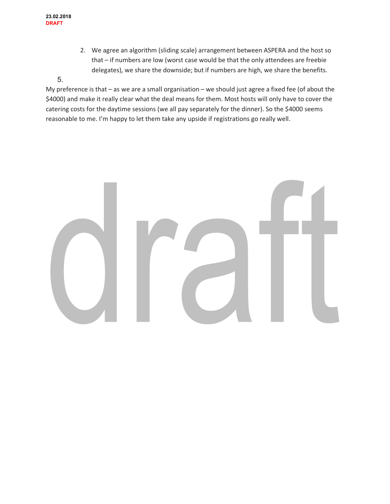2. We agree an algorithm (sliding scale) arrangement between ASPERA and the host so that – if numbers are low (worst case would be that the only attendees are freebie delegates), we share the downside; but if numbers are high, we share the benefits.

## 5.

My preference is that – as we are a small organisation – we should just agree a fixed fee (of about the \$4000) and make it really clear what the deal means for them. Most hosts will only have to cover the catering costs for the daytime sessions (we all pay separately for the dinner). So the \$4000 seems reasonable to me. I'm happy to let them take any upside if registrations go really well.

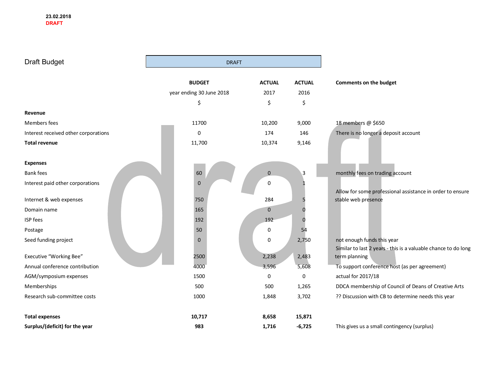$\sim$ 

| Draft Budget                         | <b>DRAFT</b>             |               |                |                                                                                  |
|--------------------------------------|--------------------------|---------------|----------------|----------------------------------------------------------------------------------|
|                                      | <b>BUDGET</b>            | <b>ACTUAL</b> | <b>ACTUAL</b>  | Comments on the budget                                                           |
|                                      | year ending 30 June 2018 | 2017          | 2016           |                                                                                  |
|                                      | \$                       | \$            | \$             |                                                                                  |
| Revenue                              |                          |               |                |                                                                                  |
| Members fees                         | 11700                    | 10,200        | 9,000          | 18 members @ \$650                                                               |
| Interest received other corporations | 0                        | 174           | 146            | There is no longer a deposit account                                             |
| <b>Total revenue</b>                 | 11,700                   | 10,374        | 9,146          |                                                                                  |
| <b>Expenses</b>                      |                          |               |                |                                                                                  |
| <b>Bank fees</b>                     | 60                       | $\mathbf 0$   | $\overline{3}$ | monthly fees on trading account                                                  |
| Interest paid other corporations     | $\pmb{0}$                | 0             |                |                                                                                  |
| Internet & web expenses              | 750                      | 284           |                | Allow for some professional assistance in order to ensure<br>stable web presence |
| Domain name                          | 165                      | $\mathbf{0}$  |                |                                                                                  |
| ISP fees                             | 192                      | 192           |                |                                                                                  |
| Postage                              | 50                       | 0             | 54             |                                                                                  |
| Seed funding project                 | $\mathbf 0$              | 0             | 2,750          | not enough funds this year                                                       |
| Executive "Working Bee"              | 2500                     | 2,238         | 2,483          | Similar to last 2 years - this is a valuable chance to do long<br>term planning  |
| Annual conference contribution       | 4000                     | 3,596         | 5,608          | To support conference host (as per agreement)                                    |
| AGM/symposium expenses               | 1500                     | 0             | 0              | actual for 2017/18                                                               |
| Memberships                          | 500                      | 500           | 1,265          | DDCA membership of Council of Deans of Creative Arts                             |
| Research sub-committee costs         | 1000                     | 1,848         | 3,702          | ?? Discussion with CB to determine needs this year                               |
| <b>Total expenses</b>                | 10,717                   | 8,658         | 15,871         |                                                                                  |
| Surplus/(deficit) for the year       | 983                      | 1,716         | $-6,725$       | This gives us a small contingency (surplus)                                      |

۰,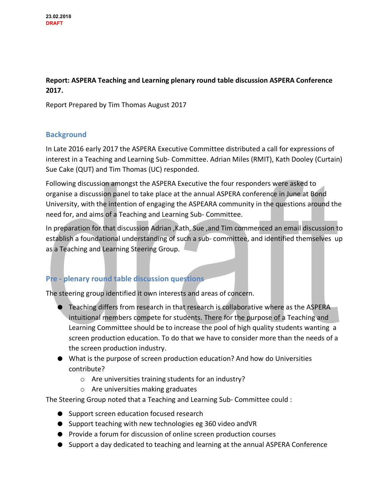## **Report: ASPERA Teaching and Learning plenary round table discussion ASPERA Conference 2017.**

Report Prepared by Tim Thomas August 2017

## **Background**

In Late 2016 early 2017 the ASPERA Executive Committee distributed a call for expressions of interest in a Teaching and Learning Sub- Committee. Adrian Miles (RMIT), Kath Dooley (Curtain) Sue Cake (QUT) and Tim Thomas (UC) responded.

Following discussion amongst the ASPERA Executive the four responders were asked to organise a discussion panel to take place at the annual ASPERA conference in June at Bond University, with the intention of engaging the ASPEARA community in the questions around the need for, and aims of a Teaching and Learning Sub- Committee.

In preparation for that discussion Adrian ,Kath, Sue ,and Tim commenced an email discussion to establish a foundational understanding of such a sub- committee, and identified themselves up as a Teaching and Learning Steering Group.

# **Pre - plenary round table discussion questions**

The steering group identified it own interests and areas of concern.

- Teaching differs from research in that research is collaborative where as the ASPERA intuitional members compete for students. There for the purpose of a Teaching and Learning Committee should be to increase the pool of high quality students wanting a screen production education. To do that we have to consider more than the needs of a the screen production industry.
- What is the purpose of screen production education? And how do Universities contribute?
	- o Are universities training students for an industry?
	- o Are universities making graduates

The Steering Group noted that a Teaching and Learning Sub- Committee could :

- Support screen education focused research
- Support teaching with new technologies eg 360 video and VR
- Provide a forum for discussion of online screen production courses
- Support a day dedicated to teaching and learning at the annual ASPERA Conference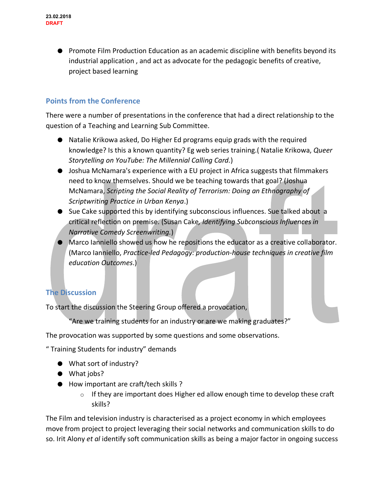● Promote Film Production Education as an academic discipline with benefits beyond its industrial application , and act as advocate for the pedagogic benefits of creative, project based learning

## **Points from the Conference**

There were a number of presentations in the conference that had a direct relationship to the question of a Teaching and Learning Sub Committee.

- Natalie Krikowa asked, Do Higher Ed programs equip grads with the required knowledge? Is this a known quantity? Eg web series training.( Natalie Krikowa, *Queer Storytelling on YouTube: The Millennial Calling Card.*)
- Joshua McNamara's experience with a EU project in Africa suggests that filmmakers need to know themselves. Should we be teaching towards that goal? (Joshua McNamara, *Scripting the Social Reality of Terrorism: Doing an Ethnography of Scriptwriting Practice in Urban Kenya*.)
- Sue Cake supported this by identifying subconscious influences. Sue talked about a critical reflection on premise. (Susan Cake*, Identifying Subconscious Influences in Narrative Comedy Screenwriting.*)
- Marco Ianniello showed us how he repositions the educator as a creative collaborator. (Marco Ianniello, *Practice-led Pedagogy: production-house techniques in creative film education Outcomes*.)

## **The Discussion**

To start the discussion the Steering Group offered a provocation,

"Are we training students for an industry or are we making graduates?"

The provocation was supported by some questions and some observations.

" Training Students for industry" demands

- What sort of industry?
- What jobs?
- How important are craft/tech skills ?
	- $\circ$  If they are important does Higher ed allow enough time to develop these craft skills?

The Film and television industry is characterised as a project economy in which employees move from project to project leveraging their social networks and communication skills to do so. Irit Alony *et al* identify soft communication skills as being a major factor in ongoing success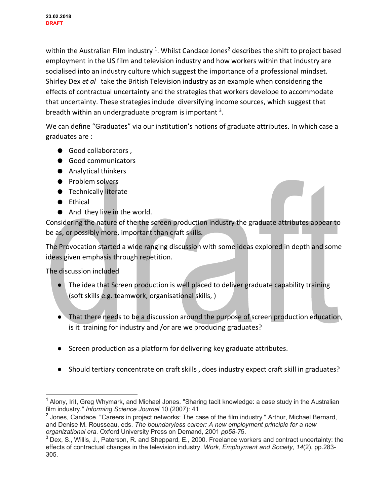within the Australian Film industry <sup>1</sup>. Whilst Candace Jones<sup>2</sup> describes the shift to project based employment in the US film and television industry and how workers within that industry are socialised into an industry culture which suggest the importance of a professional mindset. Shirley Dex *et al* take the British Television industry as an example when considering the effects of contractual uncertainty and the strategies that workers develope to accommodate that uncertainty. These strategies include diversifying income sources, which suggest that breadth within an undergraduate program is important  $3$ .

We can define "Graduates" via our institution's notions of graduate attributes. In which case a graduates are :

- Good collaborators,
- Good communicators
- Analytical thinkers
- Problem solvers
- Technically literate
- Ethical
- And they live in the world.

Considering the nature of the the screen production industry the graduate attributes appear to be as, or possibly more, important than craft skills.

The Provocation started a wide ranging discussion with some ideas explored in depth and some ideas given emphasis through repetition.

The discussion included

- The idea that Screen production is well placed to deliver graduate capability training (soft skills e.g. teamwork, organisational skills, )
- That there needs to be a discussion around the purpose of screen production education, is it training for industry and /or are we producing graduates?
- Screen production as a platform for delivering key graduate attributes.
- Should tertiary concentrate on craft skills, does industry expect craft skill in graduates?

<sup>&</sup>lt;sup>1</sup> Alony, Irit, Greg Whymark, and Michael Jones. "Sharing tacit knowledge: a case study in the Australian film industry." *Informing Science Journal* 10 (2007): 41

<sup>&</sup>lt;sup>2</sup> Jones, Candace. "Careers in project networks: The case of the film industry." Arthur, Michael Bernard, and Denise M. Rousseau, eds. *The boundaryless career: A new employment principle for a new organizational era*. Oxford University Press on Demand, 2001 *pp58-7*5.

<sup>3</sup> Dex, S., Willis, J., Paterson, R. and Sheppard, E., 2000. Freelance workers and contract uncertainty: the effects of contractual changes in the television industry. *Work, Employment and Society*, *14*(2), pp.283- 305.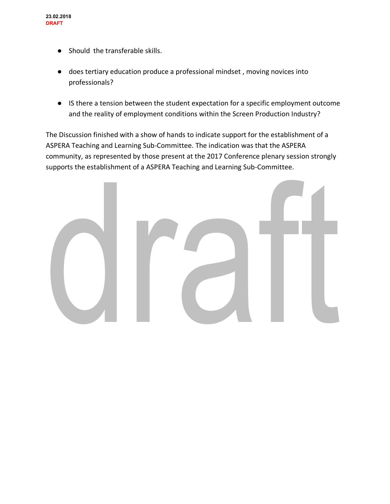- Should the transferable skills.
- does tertiary education produce a professional mindset , moving novices into professionals?
- IS there a tension between the student expectation for a specific employment outcome and the reality of employment conditions within the Screen Production Industry?

The Discussion finished with a show of hands to indicate support for the establishment of a ASPERA Teaching and Learning Sub-Committee. The indication was that the ASPERA community, as represented by those present at the 2017 Conference plenary session strongly supports the establishment of a ASPERA Teaching and Learning Sub-Committee.

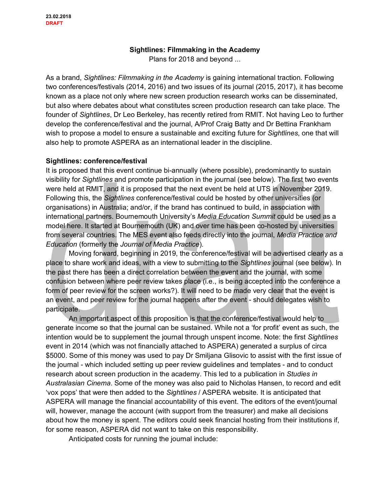## **Sightlines: Filmmaking in the Academy**

Plans for 2018 and beyond ...

As a brand, *Sightlines: Filmmaking in the Academy* is gaining international traction. Following two conferences/festivals (2014, 2016) and two issues of its journal (2015, 2017), it has become known as a place not only where new screen production research works can be disseminated, but also where debates about what constitutes screen production research can take place. The founder of *Sightlines*, Dr Leo Berkeley, has recently retired from RMIT. Not having Leo to further develop the conference/festival and the journal, A/Prof Craig Batty and Dr Bettina Frankham wish to propose a model to ensure a sustainable and exciting future for *Sightlines*, one that will also help to promote ASPERA as an international leader in the discipline.

#### **Sightlines: conference/festival**

It is proposed that this event continue bi-annually (where possible), predominantly to sustain visibility for *Sightlines* and promote participation in the journal (see below). The first two events were held at RMIT, and it is proposed that the next event be held at UTS in November 2019. Following this, the *Sightlines* conference/festival could be hosted by other universities (or organisations) in Australia; and/or, if the brand has continued to build, in association with international partners. Bournemouth University's *Media Education Summit* could be used as a model here. It started at Bournemouth (UK) and over time has been co-hosted by universities from several countries. The MES event also feeds directly into the journal, *Media Practice and Education* (formerly the *Journal of Media Practice*).

Moving forward, beginning in 2019, the conference/festival will be advertised clearly as a place to share work and ideas, with a view to submitting to the *Sightlines* journal (see below). In the past there has been a direct correlation between the event and the journal, with some confusion between where peer review takes place (i.e., is being accepted into the conference a form of peer review for the screen works?). It will need to be made very clear that the event is an event, and peer review for the journal happens after the event - should delegates wish to participate.

An important aspect of this proposition is that the conference/festival would help to generate income so that the journal can be sustained. While not a 'for profit' event as such, the intention would be to supplement the journal through unspent income. Note: the first *Sightlines* event in 2014 (which was not financially attached to ASPERA) generated a surplus of circa \$5000. Some of this money was used to pay Dr Smiljana Glisovic to assist with the first issue of the journal - which included setting up peer review guidelines and templates - and to conduct research about screen production in the academy. This led to a publication in *Studies in Australasian Cinema*. Some of the money was also paid to Nicholas Hansen, to record and edit 'vox pops' that were then added to the *Sightlines* / ASPERA website. It is anticipated that ASPERA will manage the financial accountability of this event. The editors of the event/journal will, however, manage the account (with support from the treasurer) and make all decisions about how the money is spent. The editors could seek financial hosting from their institutions if, for some reason, ASPERA did not want to take on this responsibility.

Anticipated costs for running the journal include: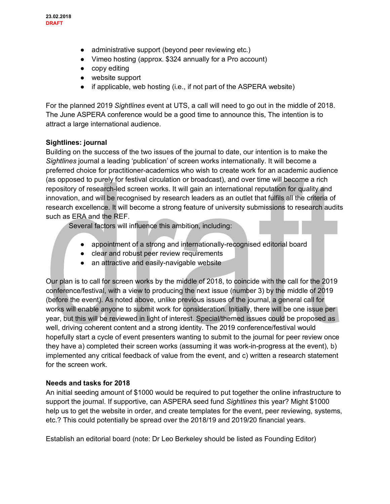- administrative support (beyond peer reviewing etc.)
- Vimeo hosting (approx. \$324 annually for a Pro account)
- copy editing
- website support
- if applicable, web hosting (i.e., if not part of the ASPERA website)

For the planned 2019 *Sightlines* event at UTS, a call will need to go out in the middle of 2018. The June ASPERA conference would be a good time to announce this, The intention is to attract a large international audience.

## **Sightlines: journal**

Building on the success of the two issues of the journal to date, our intention is to make the *Sightlines* journal a leading 'publication' of screen works internationally. It will become a preferred choice for practitioner-academics who wish to create work for an academic audience (as opposed to purely for festival circulation or broadcast), and over time will become a rich repository of research-led screen works. It will gain an international reputation for quality and innovation, and will be recognised by research leaders as an outlet that fulfils all the criteria of research excellence. It will become a strong feature of university submissions to research audits such as ERA and the REF.

Several factors will influence this ambition, including:

- appointment of a strong and internationally-recognised editorial board
- clear and robust peer review requirements
- an attractive and easily-navigable website

Our plan is to call for screen works by the middle of 2018, to coincide with the call for the 2019 conference/festival, with a view to producing the next issue (number 3) by the middle of 2019 (before the event). As noted above, unlike previous issues of the journal, a general call for works will enable anyone to submit work for consideration. Initially, there will be one issue per year, but this will be reviewed in light of interest. Special/themed issues could be proposed as well, driving coherent content and a strong identity. The 2019 conference/festival would hopefully start a cycle of event presenters wanting to submit to the journal for peer review once they have a) completed their screen works (assuming it was work-in-progress at the event), b) implemented any critical feedback of value from the event, and c) written a research statement for the screen work.

## **Needs and tasks for 2018**

An initial seeding amount of \$1000 would be required to put together the online infrastructure to support the journal. If supportive, can ASPERA seed fund *Sightlines* this year? Might \$1000 help us to get the website in order, and create templates for the event, peer reviewing, systems, etc.? This could potentially be spread over the 2018/19 and 2019/20 financial years.

Establish an editorial board (note: Dr Leo Berkeley should be listed as Founding Editor)